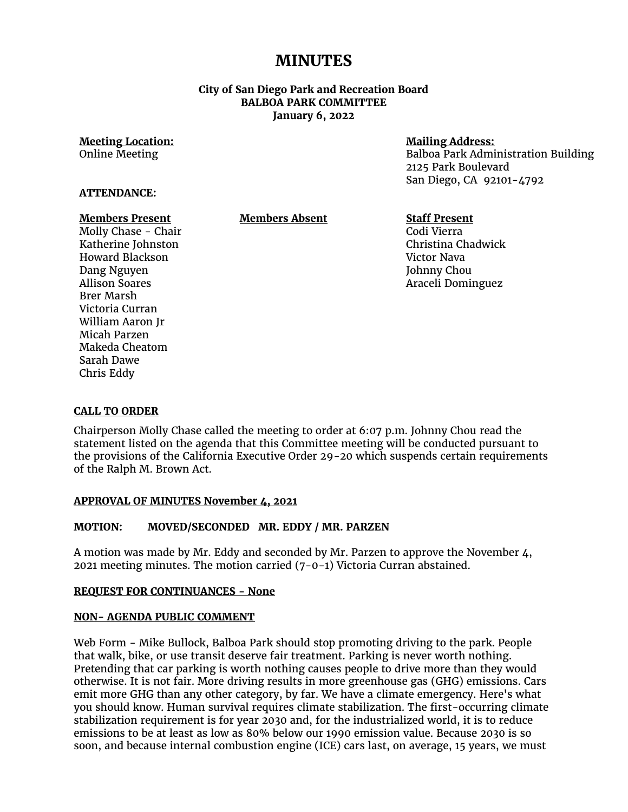# **MINUTES**

## **City of San Diego Park and Recreation Board BALBOA PARK COMMITTEE January 6, 2022**

#### **Meeting Location:** Online Meeting

## **Mailing Address:**

Balboa Park Administration Building 2125 Park Boulevard San Diego, CA 92101-4792

# **ATTENDANCE:**

#### **Members Present**

**Members Absent**

#### **Staff Present** Codi Vierra Christina Chadwick Victor Nava Johnny Chou Araceli Dominguez

Molly Chase - Chair Katherine Johnston Howard Blackson Dang Nguyen Allison Soares Brer Marsh Victoria Curran William Aaron Jr Micah Parzen Makeda Cheatom Sarah Dawe Chris Eddy

## **CALL TO ORDER**

Chairperson Molly Chase called the meeting to order at 6:07 p.m. Johnny Chou read the statement listed on the agenda that this Committee meeting will be conducted pursuant to the provisions of the California Executive Order 29-20 which suspends certain requirements of the Ralph M. Brown Act.

## **APPROVAL OF MINUTES November 4, 2021**

# **MOTION: MOVED/SECONDED MR. EDDY / MR. PARZEN**

A motion was made by Mr. Eddy and seconded by Mr. Parzen to approve the November 4, 2021 meeting minutes. The motion carried (7-0-1) Victoria Curran abstained.

## **REQUEST FOR CONTINUANCES - None**

## **NON- AGENDA PUBLIC COMMENT**

Web Form - Mike Bullock, Balboa Park should stop promoting driving to the park. People that walk, bike, or use transit deserve fair treatment. Parking is never worth nothing. Pretending that car parking is worth nothing causes people to drive more than they would otherwise. It is not fair. More driving results in more greenhouse gas (GHG) emissions. Cars emit more GHG than any other category, by far. We have a climate emergency. Here's what you should know. Human survival requires climate stabilization. The first-occurring climate stabilization requirement is for year 2030 and, for the industrialized world, it is to reduce emissions to be at least as low as 80% below our 1990 emission value. Because 2030 is so soon, and because internal combustion engine (ICE) cars last, on average, 15 years, we must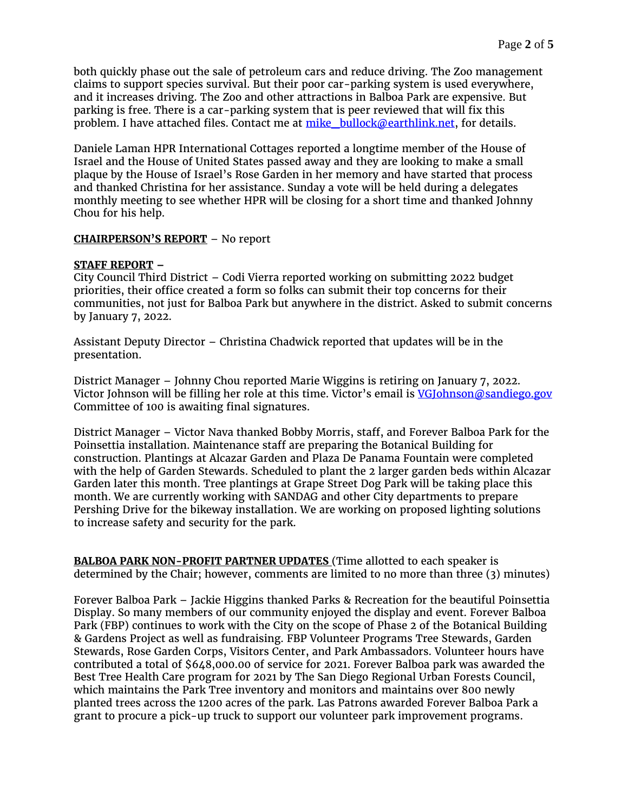both quickly phase out the sale of petroleum cars and reduce driving. The Zoo management claims to support species survival. But their poor car-parking system is used everywhere, and it increases driving. The Zoo and other attractions in Balboa Park are expensive. But parking is free. There is a car-parking system that is peer reviewed that will fix this problem. I have attached files. Contact me at  $m$ ike bullock@earthlink.net, for details.

Daniele Laman HPR International Cottages reported a longtime member of the House of Israel and the House of United States passed away and they are looking to make a small plaque by the House of Israel's Rose Garden in her memory and have started that process and thanked Christina for her assistance. Sunday a vote will be held during a delegates monthly meeting to see whether HPR will be closing for a short time and thanked Johnny Chou for his help.

## **CHAIRPERSON'S REPORT** – No report

## **STAFF REPORT –**

City Council Third District – Codi Vierra reported working on submitting 2022 budget priorities, their office created a form so folks can submit their top concerns for their communities, not just for Balboa Park but anywhere in the district. Asked to submit concerns by January 7, 2022.

Assistant Deputy Director – Christina Chadwick reported that updates will be in the presentation.

District Manager – Johnny Chou reported Marie Wiggins is retiring on January 7, 2022. Victor Johnson will be filling her role at this time. Victor's email is [VGJohnson@sandiego.gov](mailto:VGJohnson@sandiego.gov) Committee of 100 is awaiting final signatures.

District Manager – Victor Nava thanked Bobby Morris, staff, and Forever Balboa Park for the Poinsettia installation. Maintenance staff are preparing the Botanical Building for construction. Plantings at Alcazar Garden and Plaza De Panama Fountain were completed with the help of Garden Stewards. Scheduled to plant the 2 larger garden beds within Alcazar Garden later this month. Tree plantings at Grape Street Dog Park will be taking place this month. We are currently working with SANDAG and other City departments to prepare Pershing Drive for the bikeway installation. We are working on proposed lighting solutions to increase safety and security for the park.

**BALBOA PARK NON-PROFIT PARTNER UPDATES** (Time allotted to each speaker is determined by the Chair; however, comments are limited to no more than three (3) minutes)

Forever Balboa Park – Jackie Higgins thanked Parks & Recreation for the beautiful Poinsettia Display. So many members of our community enjoyed the display and event. Forever Balboa Park (FBP) continues to work with the City on the scope of Phase 2 of the Botanical Building & Gardens Project as well as fundraising. FBP Volunteer Programs Tree Stewards, Garden Stewards, Rose Garden Corps, Visitors Center, and Park Ambassadors. Volunteer hours have contributed a total of \$648,000.00 of service for 2021. Forever Balboa park was awarded the Best Tree Health Care program for 2021 by The San Diego Regional Urban Forests Council, which maintains the Park Tree inventory and monitors and maintains over 800 newly planted trees across the 1200 acres of the park. Las Patrons awarded Forever Balboa Park a grant to procure a pick-up truck to support our volunteer park improvement programs.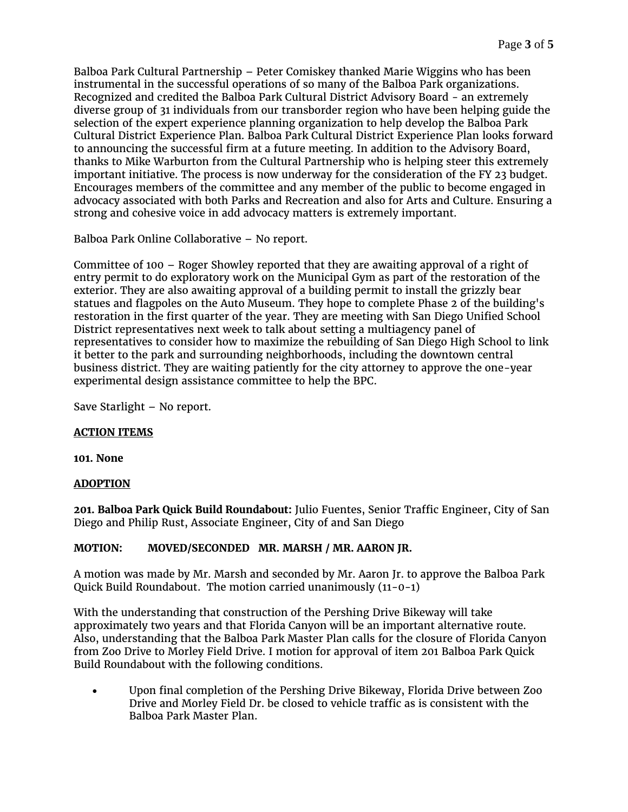Balboa Park Cultural Partnership – Peter Comiskey thanked Marie Wiggins who has been instrumental in the successful operations of so many of the Balboa Park organizations. Recognized and credited the Balboa Park Cultural District Advisory Board - an extremely diverse group of 31 individuals from our transborder region who have been helping guide the selection of the expert experience planning organization to help develop the Balboa Park Cultural District Experience Plan. Balboa Park Cultural District Experience Plan looks forward to announcing the successful firm at a future meeting. In addition to the Advisory Board, thanks to Mike Warburton from the Cultural Partnership who is helping steer this extremely important initiative. The process is now underway for the consideration of the FY 23 budget. Encourages members of the committee and any member of the public to become engaged in advocacy associated with both Parks and Recreation and also for Arts and Culture. Ensuring a strong and cohesive voice in add advocacy matters is extremely important.

Balboa Park Online Collaborative – No report.

Committee of 100 – Roger Showley reported that they are awaiting approval of a right of entry permit to do exploratory work on the Municipal Gym as part of the restoration of the exterior. They are also awaiting approval of a building permit to install the grizzly bear statues and flagpoles on the Auto Museum. They hope to complete Phase 2 of the building's restoration in the first quarter of the year. They are meeting with San Diego Unified School District representatives next week to talk about setting a multiagency panel of representatives to consider how to maximize the rebuilding of San Diego High School to link it better to the park and surrounding neighborhoods, including the downtown central business district. They are waiting patiently for the city attorney to approve the one-year experimental design assistance committee to help the BPC.

Save Starlight – No report.

# **ACTION ITEMS**

**101. None**

# **ADOPTION**

**201. Balboa Park Quick Build Roundabout:** Julio Fuentes, Senior Traffic Engineer, City of San Diego and Philip Rust, Associate Engineer, City of and San Diego

# **MOTION: MOVED/SECONDED MR. MARSH / MR. AARON JR.**

A motion was made by Mr. Marsh and seconded by Mr. Aaron Jr. to approve the Balboa Park Quick Build Roundabout. The motion carried unanimously (11-0-1)

With the understanding that construction of the Pershing Drive Bikeway will take approximately two years and that Florida Canyon will be an important alternative route. Also, understanding that the Balboa Park Master Plan calls for the closure of Florida Canyon from Zoo Drive to Morley Field Drive. I motion for approval of item 201 Balboa Park Quick Build Roundabout with the following conditions.

• Upon final completion of the Pershing Drive Bikeway, Florida Drive between Zoo Drive and Morley Field Dr. be closed to vehicle traffic as is consistent with the Balboa Park Master Plan.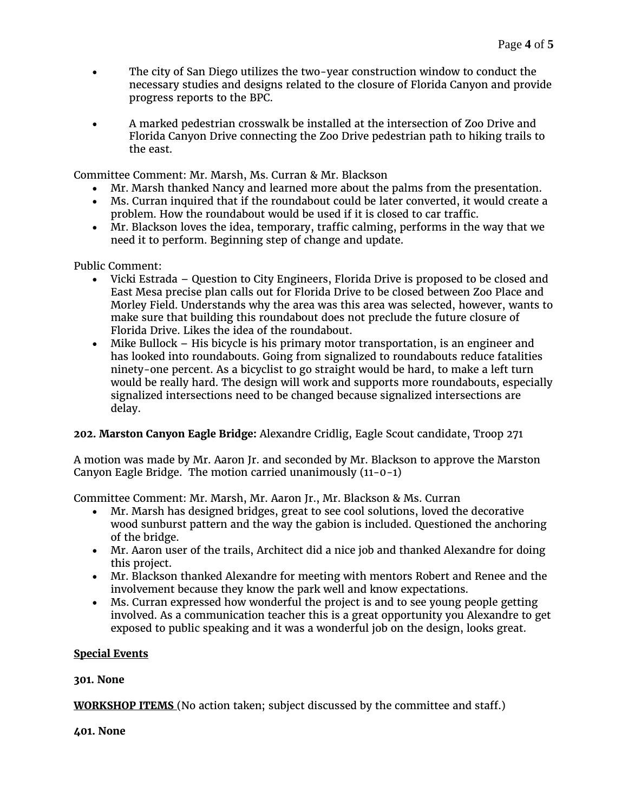- The city of San Diego utilizes the two-year construction window to conduct the necessary studies and designs related to the closure of Florida Canyon and provide progress reports to the BPC.
- A marked pedestrian crosswalk be installed at the intersection of Zoo Drive and Florida Canyon Drive connecting the Zoo Drive pedestrian path to hiking trails to the east.

Committee Comment: Mr. Marsh, Ms. Curran & Mr. Blackson

- Mr. Marsh thanked Nancy and learned more about the palms from the presentation.
- Ms. Curran inquired that if the roundabout could be later converted, it would create a problem. How the roundabout would be used if it is closed to car traffic.
- Mr. Blackson loves the idea, temporary, traffic calming, performs in the way that we need it to perform. Beginning step of change and update.

Public Comment:

- Vicki Estrada Question to City Engineers, Florida Drive is proposed to be closed and East Mesa precise plan calls out for Florida Drive to be closed between Zoo Place and Morley Field. Understands why the area was this area was selected, however, wants to make sure that building this roundabout does not preclude the future closure of Florida Drive. Likes the idea of the roundabout.
- Mike Bullock His bicycle is his primary motor transportation, is an engineer and has looked into roundabouts. Going from signalized to roundabouts reduce fatalities ninety-one percent. As a bicyclist to go straight would be hard, to make a left turn would be really hard. The design will work and supports more roundabouts, especially signalized intersections need to be changed because signalized intersections are delay.

# **202. Marston Canyon Eagle Bridge:** Alexandre Cridlig, Eagle Scout candidate, Troop 271

A motion was made by Mr. Aaron Jr. and seconded by Mr. Blackson to approve the Marston Canyon Eagle Bridge. The motion carried unanimously (11-0-1)

Committee Comment: Mr. Marsh, Mr. Aaron Jr., Mr. Blackson & Ms. Curran

- Mr. Marsh has designed bridges, great to see cool solutions, loved the decorative wood sunburst pattern and the way the gabion is included. Questioned the anchoring of the bridge.
- Mr. Aaron user of the trails, Architect did a nice job and thanked Alexandre for doing this project.
- Mr. Blackson thanked Alexandre for meeting with mentors Robert and Renee and the involvement because they know the park well and know expectations.
- Ms. Curran expressed how wonderful the project is and to see young people getting involved. As a communication teacher this is a great opportunity you Alexandre to get exposed to public speaking and it was a wonderful job on the design, looks great.

# **Special Events**

# **301. None**

**WORKSHOP ITEMS** (No action taken; subject discussed by the committee and staff.)

**401. None**